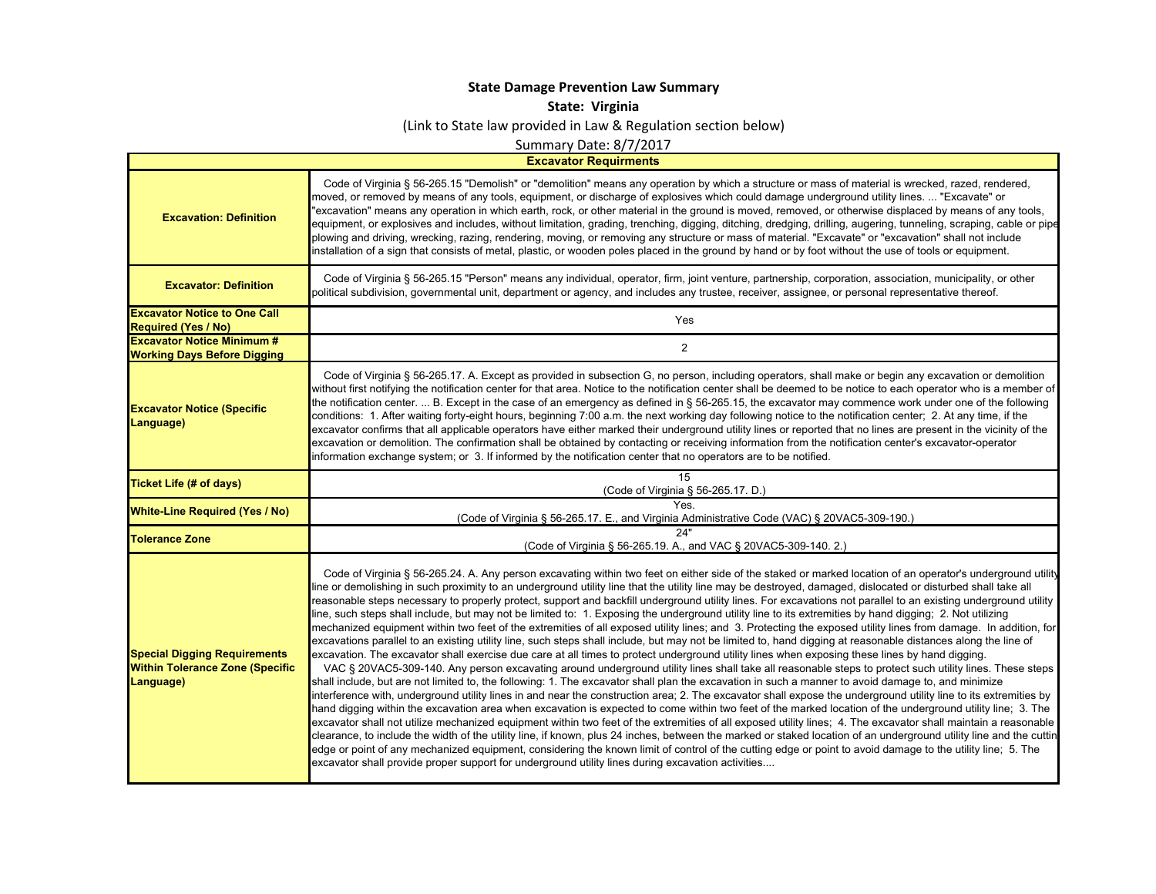## **State Damage Prevention Law Summary**

**State: Virginia**

(Link to State law provided in Law & Regulation section below)

Summary Date: 8/7/2017

**Excavator Requirments**

 $\blacksquare$ 

| <b>Excavation: Definition</b>                                                              | Code of Virginia § 56-265.15 "Demolish" or "demolition" means any operation by which a structure or mass of material is wrecked, razed, rendered,<br>moved, or removed by means of any tools, equipment, or discharge of explosives which could damage underground utility lines.  "Excavate" or<br>'excavation" means any operation in which earth, rock, or other material in the ground is moved, removed, or otherwise displaced by means of any tools,<br>equipment, or explosives and includes, without limitation, grading, trenching, digging, ditching, dredging, drilling, augering, tunneling, scraping, cable or pipe<br>plowing and driving, wrecking, razing, rendering, moving, or removing any structure or mass of material. "Excavate" or "excavation" shall not include<br>installation of a sign that consists of metal, plastic, or wooden poles placed in the ground by hand or by foot without the use of tools or equipment.                                                                                                                                                                                                                                                                                                                                                                                                                                                                                                                                                                                                                                                                                                                                                                                                                                                                                                                                                                                                                                                                                                                                                                                                                                                                                                                                                                                                                                                           |
|--------------------------------------------------------------------------------------------|----------------------------------------------------------------------------------------------------------------------------------------------------------------------------------------------------------------------------------------------------------------------------------------------------------------------------------------------------------------------------------------------------------------------------------------------------------------------------------------------------------------------------------------------------------------------------------------------------------------------------------------------------------------------------------------------------------------------------------------------------------------------------------------------------------------------------------------------------------------------------------------------------------------------------------------------------------------------------------------------------------------------------------------------------------------------------------------------------------------------------------------------------------------------------------------------------------------------------------------------------------------------------------------------------------------------------------------------------------------------------------------------------------------------------------------------------------------------------------------------------------------------------------------------------------------------------------------------------------------------------------------------------------------------------------------------------------------------------------------------------------------------------------------------------------------------------------------------------------------------------------------------------------------------------------------------------------------------------------------------------------------------------------------------------------------------------------------------------------------------------------------------------------------------------------------------------------------------------------------------------------------------------------------------------------------------------------------------------------------------------------------------------------------|
| <b>Excavator: Definition</b>                                                               | Code of Virginia § 56-265.15 "Person" means any individual, operator, firm, joint venture, partnership, corporation, association, municipality, or other<br>political subdivision, governmental unit, department or agency, and includes any trustee, receiver, assignee, or personal representative thereof.                                                                                                                                                                                                                                                                                                                                                                                                                                                                                                                                                                                                                                                                                                                                                                                                                                                                                                                                                                                                                                                                                                                                                                                                                                                                                                                                                                                                                                                                                                                                                                                                                                                                                                                                                                                                                                                                                                                                                                                                                                                                                                  |
| <b>Excavator Notice to One Call</b><br><b>Required (Yes / No)</b>                          | Yes                                                                                                                                                                                                                                                                                                                                                                                                                                                                                                                                                                                                                                                                                                                                                                                                                                                                                                                                                                                                                                                                                                                                                                                                                                                                                                                                                                                                                                                                                                                                                                                                                                                                                                                                                                                                                                                                                                                                                                                                                                                                                                                                                                                                                                                                                                                                                                                                            |
| <b>Excavator Notice Minimum #</b><br><b>Working Days Before Digging</b>                    | $\overline{2}$                                                                                                                                                                                                                                                                                                                                                                                                                                                                                                                                                                                                                                                                                                                                                                                                                                                                                                                                                                                                                                                                                                                                                                                                                                                                                                                                                                                                                                                                                                                                                                                                                                                                                                                                                                                                                                                                                                                                                                                                                                                                                                                                                                                                                                                                                                                                                                                                 |
| <b>Excavator Notice (Specific</b><br>Language)                                             | Code of Virginia § 56-265.17. A. Except as provided in subsection G, no person, including operators, shall make or begin any excavation or demolition<br>without first notifying the notification center for that area. Notice to the notification center shall be deemed to be notice to each operator who is a member of<br>the notification center.  B. Except in the case of an emergency as defined in § 56-265.15, the excavator may commence work under one of the following<br>conditions: 1. After waiting forty-eight hours, beginning 7:00 a.m. the next working day following notice to the notification center; 2. At any time, if the<br>excavator confirms that all applicable operators have either marked their underground utility lines or reported that no lines are present in the vicinity of the<br>excavation or demolition. The confirmation shall be obtained by contacting or receiving information from the notification center's excavator-operator<br>information exchange system; or 3. If informed by the notification center that no operators are to be notified.                                                                                                                                                                                                                                                                                                                                                                                                                                                                                                                                                                                                                                                                                                                                                                                                                                                                                                                                                                                                                                                                                                                                                                                                                                                                                                            |
| Ticket Life (# of days)                                                                    | 15<br>(Code of Virginia § 56-265.17. D.)                                                                                                                                                                                                                                                                                                                                                                                                                                                                                                                                                                                                                                                                                                                                                                                                                                                                                                                                                                                                                                                                                                                                                                                                                                                                                                                                                                                                                                                                                                                                                                                                                                                                                                                                                                                                                                                                                                                                                                                                                                                                                                                                                                                                                                                                                                                                                                       |
| <b>White-Line Required (Yes / No)</b>                                                      | Yes.<br>(Code of Virginia § 56-265.17. E., and Virginia Administrative Code (VAC) § 20VAC5-309-190.)                                                                                                                                                                                                                                                                                                                                                                                                                                                                                                                                                                                                                                                                                                                                                                                                                                                                                                                                                                                                                                                                                                                                                                                                                                                                                                                                                                                                                                                                                                                                                                                                                                                                                                                                                                                                                                                                                                                                                                                                                                                                                                                                                                                                                                                                                                           |
| <b>Tolerance Zone</b>                                                                      | 24"<br>(Code of Virginia § 56-265.19. A., and VAC § 20VAC5-309-140. 2.)                                                                                                                                                                                                                                                                                                                                                                                                                                                                                                                                                                                                                                                                                                                                                                                                                                                                                                                                                                                                                                                                                                                                                                                                                                                                                                                                                                                                                                                                                                                                                                                                                                                                                                                                                                                                                                                                                                                                                                                                                                                                                                                                                                                                                                                                                                                                        |
| <b>Special Digging Requirements</b><br><b>Within Tolerance Zone (Specific</b><br>Language) | Code of Virginia § 56-265.24. A. Any person excavating within two feet on either side of the staked or marked location of an operator's underground utility<br>line or demolishing in such proximity to an underground utility line that the utility line may be destroyed, damaged, dislocated or disturbed shall take all<br>reasonable steps necessary to properly protect, support and backfill underground utility lines. For excavations not parallel to an existing underground utility<br>line, such steps shall include, but may not be limited to: 1. Exposing the underground utility line to its extremities by hand digging; 2. Not utilizing<br>mechanized equipment within two feet of the extremities of all exposed utility lines; and 3. Protecting the exposed utility lines from damage. In addition, for<br>excavations parallel to an existing utility line, such steps shall include, but may not be limited to, hand digging at reasonable distances along the line of<br>excavation. The excavator shall exercise due care at all times to protect underground utility lines when exposing these lines by hand digging.<br>VAC § 20VAC5-309-140. Any person excavating around underground utility lines shall take all reasonable steps to protect such utility lines. These steps<br>shall include, but are not limited to, the following: 1. The excavator shall plan the excavation in such a manner to avoid damage to, and minimize<br>interference with, underground utility lines in and near the construction area; 2. The excavator shall expose the underground utility line to its extremities by<br>hand digging within the excavation area when excavation is expected to come within two feet of the marked location of the underground utility line; 3. The<br>excavator shall not utilize mechanized equipment within two feet of the extremities of all exposed utility lines; 4. The excavator shall maintain a reasonable<br>clearance, to include the width of the utility line, if known, plus 24 inches, between the marked or staked location of an underground utility line and the cuttin<br>edge or point of any mechanized equipment, considering the known limit of control of the cutting edge or point to avoid damage to the utility line; 5. The<br>excavator shall provide proper support for underground utility lines during excavation activities |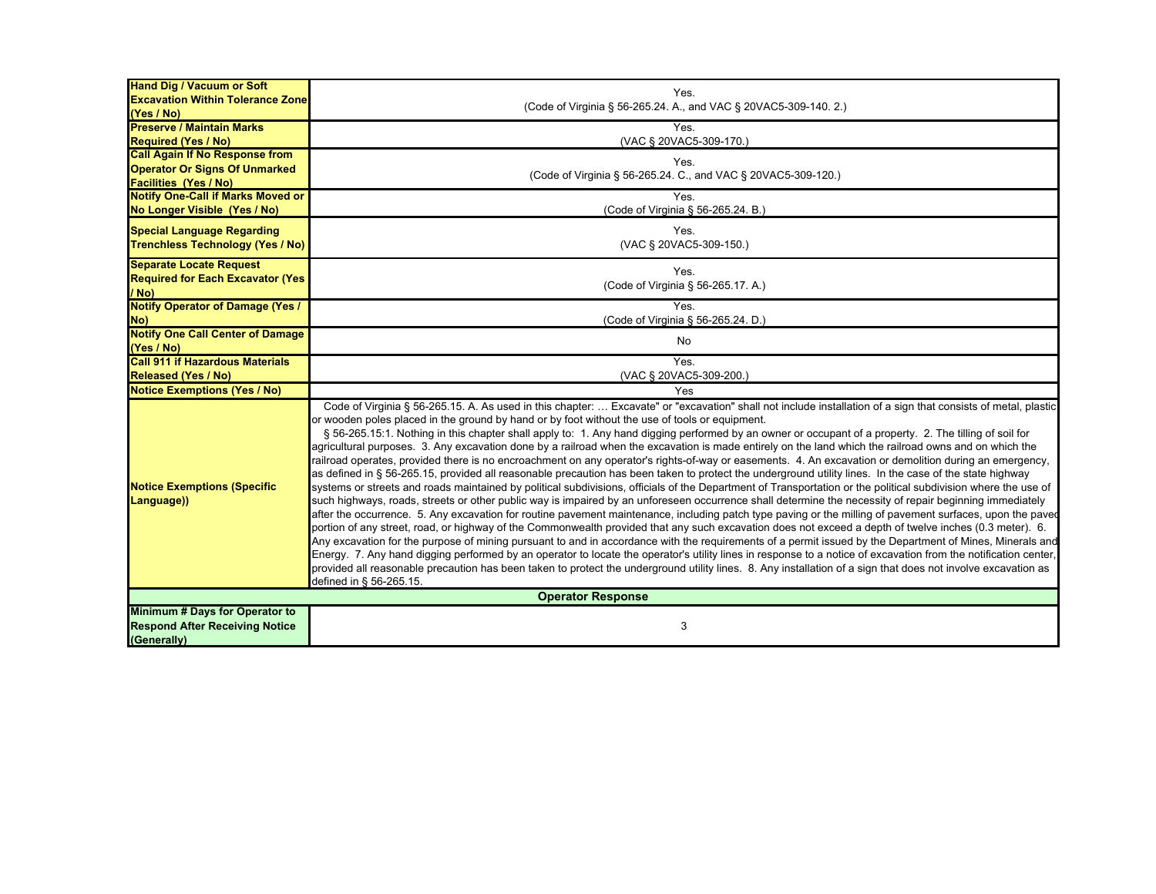| <b>Hand Dig / Vacuum or Soft</b>                                                       |                                                                                                                                                                                                                                                                                                                                                                                                                                                                                                                                                                                                                                                                                                                                                                                                                                                                                                                                                                                                                                                                                                                                                                                                                                                                                                                                                                                                                                                                                                                                                                                                                                                                                                                                                                                                                                                                                                                                                                                                                                                                                        |
|----------------------------------------------------------------------------------------|----------------------------------------------------------------------------------------------------------------------------------------------------------------------------------------------------------------------------------------------------------------------------------------------------------------------------------------------------------------------------------------------------------------------------------------------------------------------------------------------------------------------------------------------------------------------------------------------------------------------------------------------------------------------------------------------------------------------------------------------------------------------------------------------------------------------------------------------------------------------------------------------------------------------------------------------------------------------------------------------------------------------------------------------------------------------------------------------------------------------------------------------------------------------------------------------------------------------------------------------------------------------------------------------------------------------------------------------------------------------------------------------------------------------------------------------------------------------------------------------------------------------------------------------------------------------------------------------------------------------------------------------------------------------------------------------------------------------------------------------------------------------------------------------------------------------------------------------------------------------------------------------------------------------------------------------------------------------------------------------------------------------------------------------------------------------------------------|
| <b>Excavation Within Tolerance Zone</b>                                                | Yes.<br>(Code of Virginia § 56-265.24. A., and VAC § 20VAC5-309-140. 2.)                                                                                                                                                                                                                                                                                                                                                                                                                                                                                                                                                                                                                                                                                                                                                                                                                                                                                                                                                                                                                                                                                                                                                                                                                                                                                                                                                                                                                                                                                                                                                                                                                                                                                                                                                                                                                                                                                                                                                                                                               |
| (Yes / No)                                                                             |                                                                                                                                                                                                                                                                                                                                                                                                                                                                                                                                                                                                                                                                                                                                                                                                                                                                                                                                                                                                                                                                                                                                                                                                                                                                                                                                                                                                                                                                                                                                                                                                                                                                                                                                                                                                                                                                                                                                                                                                                                                                                        |
| <b>Preserve / Maintain Marks</b>                                                       | Yes.                                                                                                                                                                                                                                                                                                                                                                                                                                                                                                                                                                                                                                                                                                                                                                                                                                                                                                                                                                                                                                                                                                                                                                                                                                                                                                                                                                                                                                                                                                                                                                                                                                                                                                                                                                                                                                                                                                                                                                                                                                                                                   |
| <b>Required (Yes / No)</b>                                                             | (VAC § 20VAC5-309-170.)                                                                                                                                                                                                                                                                                                                                                                                                                                                                                                                                                                                                                                                                                                                                                                                                                                                                                                                                                                                                                                                                                                                                                                                                                                                                                                                                                                                                                                                                                                                                                                                                                                                                                                                                                                                                                                                                                                                                                                                                                                                                |
| <b>Call Again If No Response from</b>                                                  | Yes.                                                                                                                                                                                                                                                                                                                                                                                                                                                                                                                                                                                                                                                                                                                                                                                                                                                                                                                                                                                                                                                                                                                                                                                                                                                                                                                                                                                                                                                                                                                                                                                                                                                                                                                                                                                                                                                                                                                                                                                                                                                                                   |
| <b>Operator Or Signs Of Unmarked</b>                                                   | (Code of Virginia § 56-265.24. C., and VAC § 20VAC5-309-120.)                                                                                                                                                                                                                                                                                                                                                                                                                                                                                                                                                                                                                                                                                                                                                                                                                                                                                                                                                                                                                                                                                                                                                                                                                                                                                                                                                                                                                                                                                                                                                                                                                                                                                                                                                                                                                                                                                                                                                                                                                          |
| <b>Facilities (Yes / No)</b>                                                           |                                                                                                                                                                                                                                                                                                                                                                                                                                                                                                                                                                                                                                                                                                                                                                                                                                                                                                                                                                                                                                                                                                                                                                                                                                                                                                                                                                                                                                                                                                                                                                                                                                                                                                                                                                                                                                                                                                                                                                                                                                                                                        |
| <b>Notify One-Call if Marks Moved or</b>                                               | Yes.                                                                                                                                                                                                                                                                                                                                                                                                                                                                                                                                                                                                                                                                                                                                                                                                                                                                                                                                                                                                                                                                                                                                                                                                                                                                                                                                                                                                                                                                                                                                                                                                                                                                                                                                                                                                                                                                                                                                                                                                                                                                                   |
| No Longer Visible (Yes / No)                                                           | (Code of Virginia § 56-265.24. B.)                                                                                                                                                                                                                                                                                                                                                                                                                                                                                                                                                                                                                                                                                                                                                                                                                                                                                                                                                                                                                                                                                                                                                                                                                                                                                                                                                                                                                                                                                                                                                                                                                                                                                                                                                                                                                                                                                                                                                                                                                                                     |
| <b>Special Language Regarding</b>                                                      | Yes.                                                                                                                                                                                                                                                                                                                                                                                                                                                                                                                                                                                                                                                                                                                                                                                                                                                                                                                                                                                                                                                                                                                                                                                                                                                                                                                                                                                                                                                                                                                                                                                                                                                                                                                                                                                                                                                                                                                                                                                                                                                                                   |
| <b>Trenchless Technology (Yes / No)</b>                                                | (VAC § 20VAC5-309-150.)                                                                                                                                                                                                                                                                                                                                                                                                                                                                                                                                                                                                                                                                                                                                                                                                                                                                                                                                                                                                                                                                                                                                                                                                                                                                                                                                                                                                                                                                                                                                                                                                                                                                                                                                                                                                                                                                                                                                                                                                                                                                |
|                                                                                        |                                                                                                                                                                                                                                                                                                                                                                                                                                                                                                                                                                                                                                                                                                                                                                                                                                                                                                                                                                                                                                                                                                                                                                                                                                                                                                                                                                                                                                                                                                                                                                                                                                                                                                                                                                                                                                                                                                                                                                                                                                                                                        |
| <b>Separate Locate Request</b>                                                         | Yes.                                                                                                                                                                                                                                                                                                                                                                                                                                                                                                                                                                                                                                                                                                                                                                                                                                                                                                                                                                                                                                                                                                                                                                                                                                                                                                                                                                                                                                                                                                                                                                                                                                                                                                                                                                                                                                                                                                                                                                                                                                                                                   |
| <b>Required for Each Excavator (Yes)</b>                                               | (Code of Virginia § 56-265.17. A.)                                                                                                                                                                                                                                                                                                                                                                                                                                                                                                                                                                                                                                                                                                                                                                                                                                                                                                                                                                                                                                                                                                                                                                                                                                                                                                                                                                                                                                                                                                                                                                                                                                                                                                                                                                                                                                                                                                                                                                                                                                                     |
| $/$ No)                                                                                |                                                                                                                                                                                                                                                                                                                                                                                                                                                                                                                                                                                                                                                                                                                                                                                                                                                                                                                                                                                                                                                                                                                                                                                                                                                                                                                                                                                                                                                                                                                                                                                                                                                                                                                                                                                                                                                                                                                                                                                                                                                                                        |
| <b>Notify Operator of Damage (Yes /</b>                                                | Yes.                                                                                                                                                                                                                                                                                                                                                                                                                                                                                                                                                                                                                                                                                                                                                                                                                                                                                                                                                                                                                                                                                                                                                                                                                                                                                                                                                                                                                                                                                                                                                                                                                                                                                                                                                                                                                                                                                                                                                                                                                                                                                   |
| No)                                                                                    | (Code of Virginia § 56-265.24. D.)                                                                                                                                                                                                                                                                                                                                                                                                                                                                                                                                                                                                                                                                                                                                                                                                                                                                                                                                                                                                                                                                                                                                                                                                                                                                                                                                                                                                                                                                                                                                                                                                                                                                                                                                                                                                                                                                                                                                                                                                                                                     |
| <b>Notify One Call Center of Damage</b><br>(Yes / No)                                  | No                                                                                                                                                                                                                                                                                                                                                                                                                                                                                                                                                                                                                                                                                                                                                                                                                                                                                                                                                                                                                                                                                                                                                                                                                                                                                                                                                                                                                                                                                                                                                                                                                                                                                                                                                                                                                                                                                                                                                                                                                                                                                     |
| <b>Call 911 if Hazardous Materials</b>                                                 | Yes.                                                                                                                                                                                                                                                                                                                                                                                                                                                                                                                                                                                                                                                                                                                                                                                                                                                                                                                                                                                                                                                                                                                                                                                                                                                                                                                                                                                                                                                                                                                                                                                                                                                                                                                                                                                                                                                                                                                                                                                                                                                                                   |
| <b>Released (Yes / No)</b>                                                             | (VAC § 20VAC5-309-200.)                                                                                                                                                                                                                                                                                                                                                                                                                                                                                                                                                                                                                                                                                                                                                                                                                                                                                                                                                                                                                                                                                                                                                                                                                                                                                                                                                                                                                                                                                                                                                                                                                                                                                                                                                                                                                                                                                                                                                                                                                                                                |
| <b>Notice Exemptions (Yes / No)</b>                                                    | Yes                                                                                                                                                                                                                                                                                                                                                                                                                                                                                                                                                                                                                                                                                                                                                                                                                                                                                                                                                                                                                                                                                                                                                                                                                                                                                                                                                                                                                                                                                                                                                                                                                                                                                                                                                                                                                                                                                                                                                                                                                                                                                    |
|                                                                                        |                                                                                                                                                                                                                                                                                                                                                                                                                                                                                                                                                                                                                                                                                                                                                                                                                                                                                                                                                                                                                                                                                                                                                                                                                                                                                                                                                                                                                                                                                                                                                                                                                                                                                                                                                                                                                                                                                                                                                                                                                                                                                        |
| <b>Notice Exemptions (Specific</b><br>Language))                                       | Code of Virginia § 56-265.15. A. As used in this chapter:  Excavate" or "excavation" shall not include installation of a sign that consists of metal, plastic<br>or wooden poles placed in the ground by hand or by foot without the use of tools or equipment.<br>§ 56-265.15:1. Nothing in this chapter shall apply to: 1. Any hand digging performed by an owner or occupant of a property. 2. The tilling of soil for<br>agricultural purposes. 3. Any excavation done by a railroad when the excavation is made entirely on the land which the railroad owns and on which the<br>railroad operates, provided there is no encroachment on any operator's rights-of-way or easements. 4. An excavation or demolition during an emergency,<br>as defined in § 56-265.15, provided all reasonable precaution has been taken to protect the underground utility lines. In the case of the state highway<br>systems or streets and roads maintained by political subdivisions, officials of the Department of Transportation or the political subdivision where the use of<br>such highways, roads, streets or other public way is impaired by an unforeseen occurrence shall determine the necessity of repair beginning immediately<br>after the occurrence. 5. Any excavation for routine pavement maintenance, including patch type paving or the milling of pavement surfaces, upon the paved<br>portion of any street, road, or highway of the Commonwealth provided that any such excavation does not exceed a depth of twelve inches (0.3 meter). 6.<br>Any excavation for the purpose of mining pursuant to and in accordance with the requirements of a permit issued by the Department of Mines, Minerals and<br>Energy. 7. Any hand digging performed by an operator to locate the operator's utility lines in response to a notice of excavation from the notification center,<br>provided all reasonable precaution has been taken to protect the underground utility lines. 8. Any installation of a sign that does not involve excavation as<br>defined in § 56-265.15. |
| <b>Operator Response</b>                                                               |                                                                                                                                                                                                                                                                                                                                                                                                                                                                                                                                                                                                                                                                                                                                                                                                                                                                                                                                                                                                                                                                                                                                                                                                                                                                                                                                                                                                                                                                                                                                                                                                                                                                                                                                                                                                                                                                                                                                                                                                                                                                                        |
| Minimum # Days for Operator to<br><b>Respond After Receiving Notice</b><br>(Generally) | 3                                                                                                                                                                                                                                                                                                                                                                                                                                                                                                                                                                                                                                                                                                                                                                                                                                                                                                                                                                                                                                                                                                                                                                                                                                                                                                                                                                                                                                                                                                                                                                                                                                                                                                                                                                                                                                                                                                                                                                                                                                                                                      |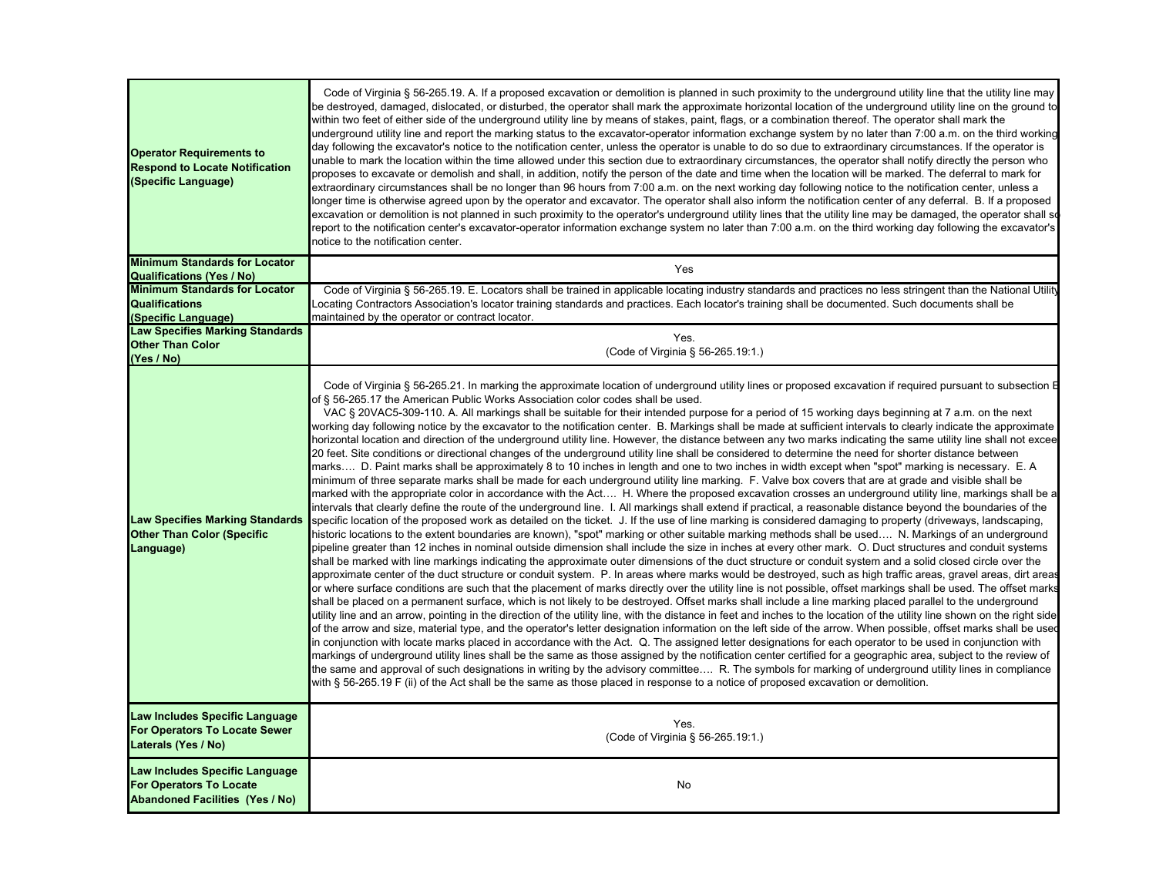| <b>Operator Requirements to</b><br><b>Respond to Locate Notification</b><br>(Specific Language)            | Code of Virginia § 56-265.19. A. If a proposed excavation or demolition is planned in such proximity to the underground utility line that the utility line may<br>be destroyed, damaged, dislocated, or disturbed, the operator shall mark the approximate horizontal location of the underground utility line on the ground to<br>within two feet of either side of the underground utility line by means of stakes, paint, flags, or a combination thereof. The operator shall mark the<br>underground utility line and report the marking status to the excavator-operator information exchange system by no later than 7:00 a.m. on the third working<br>day following the excavator's notice to the notification center, unless the operator is unable to do so due to extraordinary circumstances. If the operator is<br>unable to mark the location within the time allowed under this section due to extraordinary circumstances, the operator shall notify directly the person who<br>proposes to excavate or demolish and shall, in addition, notify the person of the date and time when the location will be marked. The deferral to mark for<br>extraordinary circumstances shall be no longer than 96 hours from 7:00 a.m. on the next working day following notice to the notification center, unless a<br>longer time is otherwise agreed upon by the operator and excavator. The operator shall also inform the notification center of any deferral. B. If a proposed<br>excavation or demolition is not planned in such proximity to the operator's underground utility lines that the utility line may be damaged, the operator shall so<br>report to the notification center's excavator-operator information exchange system no later than 7:00 a.m. on the third working day following the excavator's<br>notice to the notification center.                                                                                                                                                                                                                                                                                                                                                                                                                                                                                                                                                                                                                                                                                                                                                                                                                                                                                                                                                                                                                                                                                                                                                                                                                                                                                                                                                                                                                                                                                                                                                                                                                                                                                                                                                                                                              |
|------------------------------------------------------------------------------------------------------------|---------------------------------------------------------------------------------------------------------------------------------------------------------------------------------------------------------------------------------------------------------------------------------------------------------------------------------------------------------------------------------------------------------------------------------------------------------------------------------------------------------------------------------------------------------------------------------------------------------------------------------------------------------------------------------------------------------------------------------------------------------------------------------------------------------------------------------------------------------------------------------------------------------------------------------------------------------------------------------------------------------------------------------------------------------------------------------------------------------------------------------------------------------------------------------------------------------------------------------------------------------------------------------------------------------------------------------------------------------------------------------------------------------------------------------------------------------------------------------------------------------------------------------------------------------------------------------------------------------------------------------------------------------------------------------------------------------------------------------------------------------------------------------------------------------------------------------------------------------------------------------------------------------------------------------------------------------------------------------------------------------------------------------------------------------------------------------------------------------------------------------------------------------------------------------------------------------------------------------------------------------------------------------------------------------------------------------------------------------------------------------------------------------------------------------------------------------------------------------------------------------------------------------------------------------------------------------------------------------------------------------------------------------------------------------------------------------------------------------------------------------------------------------------------------------------------------------------------------------------------------------------------------------------------------------------------------------------------------------------------------------------------------------------------------------------------------------------------------------------------------------------------------------------------------------------------------------------------------------------------------------------------------------------------------------------------------------------------------------------------------------------------------------------------------------------------------------------------------------------------------------------------------------------------------------------------------------------------------------------------------------------------------------------------------------|
| <b>Minimum Standards for Locator</b><br><b>Qualifications (Yes / No)</b>                                   | Yes                                                                                                                                                                                                                                                                                                                                                                                                                                                                                                                                                                                                                                                                                                                                                                                                                                                                                                                                                                                                                                                                                                                                                                                                                                                                                                                                                                                                                                                                                                                                                                                                                                                                                                                                                                                                                                                                                                                                                                                                                                                                                                                                                                                                                                                                                                                                                                                                                                                                                                                                                                                                                                                                                                                                                                                                                                                                                                                                                                                                                                                                                                                                                                                                                                                                                                                                                                                                                                                                                                                                                                                                                                                                             |
| <b>Minimum Standards for Locator</b>                                                                       | Code of Virginia § 56-265.19. E. Locators shall be trained in applicable locating industry standards and practices no less stringent than the National Utility                                                                                                                                                                                                                                                                                                                                                                                                                                                                                                                                                                                                                                                                                                                                                                                                                                                                                                                                                                                                                                                                                                                                                                                                                                                                                                                                                                                                                                                                                                                                                                                                                                                                                                                                                                                                                                                                                                                                                                                                                                                                                                                                                                                                                                                                                                                                                                                                                                                                                                                                                                                                                                                                                                                                                                                                                                                                                                                                                                                                                                                                                                                                                                                                                                                                                                                                                                                                                                                                                                                  |
| <b>Qualifications</b>                                                                                      | Locating Contractors Association's locator training standards and practices. Each locator's training shall be documented. Such documents shall be                                                                                                                                                                                                                                                                                                                                                                                                                                                                                                                                                                                                                                                                                                                                                                                                                                                                                                                                                                                                                                                                                                                                                                                                                                                                                                                                                                                                                                                                                                                                                                                                                                                                                                                                                                                                                                                                                                                                                                                                                                                                                                                                                                                                                                                                                                                                                                                                                                                                                                                                                                                                                                                                                                                                                                                                                                                                                                                                                                                                                                                                                                                                                                                                                                                                                                                                                                                                                                                                                                                               |
| (Specific Language)                                                                                        | maintained by the operator or contract locator.                                                                                                                                                                                                                                                                                                                                                                                                                                                                                                                                                                                                                                                                                                                                                                                                                                                                                                                                                                                                                                                                                                                                                                                                                                                                                                                                                                                                                                                                                                                                                                                                                                                                                                                                                                                                                                                                                                                                                                                                                                                                                                                                                                                                                                                                                                                                                                                                                                                                                                                                                                                                                                                                                                                                                                                                                                                                                                                                                                                                                                                                                                                                                                                                                                                                                                                                                                                                                                                                                                                                                                                                                                 |
| <b>Law Specifies Marking Standards</b>                                                                     | Yes.                                                                                                                                                                                                                                                                                                                                                                                                                                                                                                                                                                                                                                                                                                                                                                                                                                                                                                                                                                                                                                                                                                                                                                                                                                                                                                                                                                                                                                                                                                                                                                                                                                                                                                                                                                                                                                                                                                                                                                                                                                                                                                                                                                                                                                                                                                                                                                                                                                                                                                                                                                                                                                                                                                                                                                                                                                                                                                                                                                                                                                                                                                                                                                                                                                                                                                                                                                                                                                                                                                                                                                                                                                                                            |
| <b>Other Than Color</b>                                                                                    | (Code of Virginia § 56-265.19:1.)                                                                                                                                                                                                                                                                                                                                                                                                                                                                                                                                                                                                                                                                                                                                                                                                                                                                                                                                                                                                                                                                                                                                                                                                                                                                                                                                                                                                                                                                                                                                                                                                                                                                                                                                                                                                                                                                                                                                                                                                                                                                                                                                                                                                                                                                                                                                                                                                                                                                                                                                                                                                                                                                                                                                                                                                                                                                                                                                                                                                                                                                                                                                                                                                                                                                                                                                                                                                                                                                                                                                                                                                                                               |
| (Yes / No)                                                                                                 |                                                                                                                                                                                                                                                                                                                                                                                                                                                                                                                                                                                                                                                                                                                                                                                                                                                                                                                                                                                                                                                                                                                                                                                                                                                                                                                                                                                                                                                                                                                                                                                                                                                                                                                                                                                                                                                                                                                                                                                                                                                                                                                                                                                                                                                                                                                                                                                                                                                                                                                                                                                                                                                                                                                                                                                                                                                                                                                                                                                                                                                                                                                                                                                                                                                                                                                                                                                                                                                                                                                                                                                                                                                                                 |
| <b>Law Specifies Marking Standards</b><br><b>Other Than Color (Specific</b><br>Language)                   | Code of Virginia § 56-265.21. In marking the approximate location of underground utility lines or proposed excavation if required pursuant to subsection E<br>of § 56-265.17 the American Public Works Association color codes shall be used.<br>VAC § 20VAC5-309-110. A. All markings shall be suitable for their intended purpose for a period of 15 working days beginning at 7 a.m. on the next<br>working day following notice by the excavator to the notification center. B. Markings shall be made at sufficient intervals to clearly indicate the approximate<br>horizontal location and direction of the underground utility line. However, the distance between any two marks indicating the same utility line shall not excee<br>20 feet. Site conditions or directional changes of the underground utility line shall be considered to determine the need for shorter distance between<br>marks…. D. Paint marks shall be approximately 8 to 10 inches in length and one to two inches in width except when "spot" marking is necessary. E. A<br>minimum of three separate marks shall be made for each underground utility line marking. F. Valve box covers that are at grade and visible shall be<br>marked with the appropriate color in accordance with the Act H. Where the proposed excavation crosses an underground utility line, markings shall be a<br>intervals that clearly define the route of the underground line. I. All markings shall extend if practical, a reasonable distance beyond the boundaries of the<br>specific location of the proposed work as detailed on the ticket. J. If the use of line marking is considered damaging to property (driveways, landscaping,<br>historic locations to the extent boundaries are known), "spot" marking or other suitable marking methods shall be used N. Markings of an underground<br>pipeline greater than 12 inches in nominal outside dimension shall include the size in inches at every other mark.  O. Duct structures and conduit systems<br>shall be marked with line markings indicating the approximate outer dimensions of the duct structure or conduit system and a solid closed circle over the<br>approximate center of the duct structure or conduit system. P. In areas where marks would be destroyed, such as high traffic areas, gravel areas, dirt areas<br>or where surface conditions are such that the placement of marks directly over the utility line is not possible, offset markings shall be used. The offset marks<br>shall be placed on a permanent surface, which is not likely to be destroyed. Offset marks shall include a line marking placed parallel to the underground<br>utility line and an arrow, pointing in the direction of the utility line, with the distance in feet and inches to the location of the utility line shown on the right side<br>of the arrow and size, material type, and the operator's letter designation information on the left side of the arrow. When possible, offset marks shall be used<br>in conjunction with locate marks placed in accordance with the Act. Q. The assigned letter designations for each operator to be used in conjunction with<br>markings of underground utility lines shall be the same as those assigned by the notification center certified for a geographic area, subject to the review of<br>the same and approval of such designations in writing by the advisory committee R. The symbols for marking of underground utility lines in compliance<br>with § 56-265.19 F (ii) of the Act shall be the same as those placed in response to a notice of proposed excavation or demolition. |
| Law Includes Specific Language<br>For Operators To Locate Sewer<br>Laterals (Yes / No)                     | Yes.<br>(Code of Virginia § 56-265.19:1.)                                                                                                                                                                                                                                                                                                                                                                                                                                                                                                                                                                                                                                                                                                                                                                                                                                                                                                                                                                                                                                                                                                                                                                                                                                                                                                                                                                                                                                                                                                                                                                                                                                                                                                                                                                                                                                                                                                                                                                                                                                                                                                                                                                                                                                                                                                                                                                                                                                                                                                                                                                                                                                                                                                                                                                                                                                                                                                                                                                                                                                                                                                                                                                                                                                                                                                                                                                                                                                                                                                                                                                                                                                       |
| Law Includes Specific Language<br><b>For Operators To Locate</b><br><b>Abandoned Facilities (Yes / No)</b> | No                                                                                                                                                                                                                                                                                                                                                                                                                                                                                                                                                                                                                                                                                                                                                                                                                                                                                                                                                                                                                                                                                                                                                                                                                                                                                                                                                                                                                                                                                                                                                                                                                                                                                                                                                                                                                                                                                                                                                                                                                                                                                                                                                                                                                                                                                                                                                                                                                                                                                                                                                                                                                                                                                                                                                                                                                                                                                                                                                                                                                                                                                                                                                                                                                                                                                                                                                                                                                                                                                                                                                                                                                                                                              |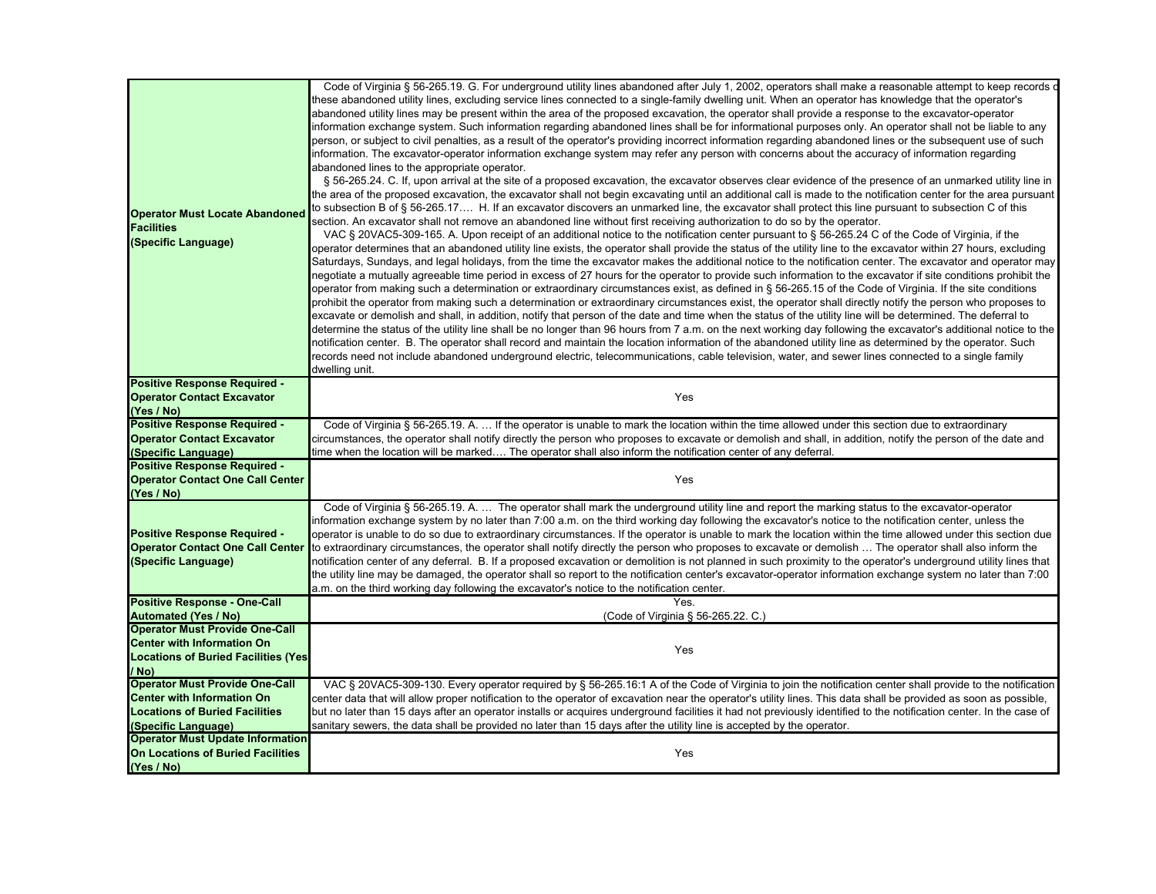| <b>Operator Must Locate Abandoned</b><br><b>Facilities</b><br>(Specific Language)                     | Code of Virginia § 56-265.19. G. For underground utility lines abandoned after July 1, 2002, operators shall make a reasonable attempt to keep records o<br>these abandoned utility lines, excluding service lines connected to a single-family dwelling unit. When an operator has knowledge that the operator's<br>abandoned utility lines may be present within the area of the proposed excavation, the operator shall provide a response to the excavator-operator<br>information exchange system. Such information regarding abandoned lines shall be for informational purposes only. An operator shall not be liable to any<br>person, or subject to civil penalties, as a result of the operator's providing incorrect information regarding abandoned lines or the subsequent use of such<br>information. The excavator-operator information exchange system may refer any person with concerns about the accuracy of information regarding<br>abandoned lines to the appropriate operator.<br>§ 56-265.24. C. If, upon arrival at the site of a proposed excavation, the excavator observes clear evidence of the presence of an unmarked utility line in<br>the area of the proposed excavation, the excavator shall not begin excavating until an additional call is made to the notification center for the area pursuant<br>to subsection B of § 56-265.17 H. If an excavator discovers an unmarked line, the excavator shall protect this line pursuant to subsection C of this<br>section. An excavator shall not remove an abandoned line without first receiving authorization to do so by the operator.<br>VAC § 20VAC5-309-165. A. Upon receipt of an additional notice to the notification center pursuant to § 56-265.24 C of the Code of Virginia, if the<br>operator determines that an abandoned utility line exists, the operator shall provide the status of the utility line to the excavator within 27 hours, excluding<br>Saturdays, Sundays, and legal holidays, from the time the excavator makes the additional notice to the notification center. The excavator and operator may<br>negotiate a mutually agreeable time period in excess of 27 hours for the operator to provide such information to the excavator if site conditions prohibit the<br>operator from making such a determination or extraordinary circumstances exist, as defined in § 56-265.15 of the Code of Virginia. If the site conditions<br>prohibit the operator from making such a determination or extraordinary circumstances exist, the operator shall directly notify the person who proposes to<br>excavate or demolish and shall, in addition, notify that person of the date and time when the status of the utility line will be determined. The deferral to<br>determine the status of the utility line shall be no longer than 96 hours from 7 a.m. on the next working day following the excavator's additional notice to the<br>notification center. B. The operator shall record and maintain the location information of the abandoned utility line as determined by the operator. Such<br>records need not include abandoned underground electric, telecommunications, cable television, water, and sewer lines connected to a single family<br>dwelling unit. |
|-------------------------------------------------------------------------------------------------------|-------------------------------------------------------------------------------------------------------------------------------------------------------------------------------------------------------------------------------------------------------------------------------------------------------------------------------------------------------------------------------------------------------------------------------------------------------------------------------------------------------------------------------------------------------------------------------------------------------------------------------------------------------------------------------------------------------------------------------------------------------------------------------------------------------------------------------------------------------------------------------------------------------------------------------------------------------------------------------------------------------------------------------------------------------------------------------------------------------------------------------------------------------------------------------------------------------------------------------------------------------------------------------------------------------------------------------------------------------------------------------------------------------------------------------------------------------------------------------------------------------------------------------------------------------------------------------------------------------------------------------------------------------------------------------------------------------------------------------------------------------------------------------------------------------------------------------------------------------------------------------------------------------------------------------------------------------------------------------------------------------------------------------------------------------------------------------------------------------------------------------------------------------------------------------------------------------------------------------------------------------------------------------------------------------------------------------------------------------------------------------------------------------------------------------------------------------------------------------------------------------------------------------------------------------------------------------------------------------------------------------------------------------------------------------------------------------------------------------------------------------------------------------------------------------------------------------------------------------------------------------------------------------------------------------------------------------------------------------------------------------------------------------------------------------------------------------------------------------------------------------------------------------------------------------------------------------------------------------------------------------------------------------------------|
| Positive Response Required -<br><b>Operator Contact Excavator</b><br>(Yes / No)                       | Yes                                                                                                                                                                                                                                                                                                                                                                                                                                                                                                                                                                                                                                                                                                                                                                                                                                                                                                                                                                                                                                                                                                                                                                                                                                                                                                                                                                                                                                                                                                                                                                                                                                                                                                                                                                                                                                                                                                                                                                                                                                                                                                                                                                                                                                                                                                                                                                                                                                                                                                                                                                                                                                                                                                                                                                                                                                                                                                                                                                                                                                                                                                                                                                                                                                                                                       |
| <b>Positive Response Required -</b>                                                                   | Code of Virginia § 56-265.19. A.  If the operator is unable to mark the location within the time allowed under this section due to extraordinary                                                                                                                                                                                                                                                                                                                                                                                                                                                                                                                                                                                                                                                                                                                                                                                                                                                                                                                                                                                                                                                                                                                                                                                                                                                                                                                                                                                                                                                                                                                                                                                                                                                                                                                                                                                                                                                                                                                                                                                                                                                                                                                                                                                                                                                                                                                                                                                                                                                                                                                                                                                                                                                                                                                                                                                                                                                                                                                                                                                                                                                                                                                                          |
| <b>Operator Contact Excavator</b>                                                                     | circumstances, the operator shall notify directly the person who proposes to excavate or demolish and shall, in addition, notify the person of the date and                                                                                                                                                                                                                                                                                                                                                                                                                                                                                                                                                                                                                                                                                                                                                                                                                                                                                                                                                                                                                                                                                                                                                                                                                                                                                                                                                                                                                                                                                                                                                                                                                                                                                                                                                                                                                                                                                                                                                                                                                                                                                                                                                                                                                                                                                                                                                                                                                                                                                                                                                                                                                                                                                                                                                                                                                                                                                                                                                                                                                                                                                                                               |
| (Specific Language)                                                                                   | time when the location will be marked The operator shall also inform the notification center of any deferral.                                                                                                                                                                                                                                                                                                                                                                                                                                                                                                                                                                                                                                                                                                                                                                                                                                                                                                                                                                                                                                                                                                                                                                                                                                                                                                                                                                                                                                                                                                                                                                                                                                                                                                                                                                                                                                                                                                                                                                                                                                                                                                                                                                                                                                                                                                                                                                                                                                                                                                                                                                                                                                                                                                                                                                                                                                                                                                                                                                                                                                                                                                                                                                             |
| <b>Positive Response Required -</b>                                                                   |                                                                                                                                                                                                                                                                                                                                                                                                                                                                                                                                                                                                                                                                                                                                                                                                                                                                                                                                                                                                                                                                                                                                                                                                                                                                                                                                                                                                                                                                                                                                                                                                                                                                                                                                                                                                                                                                                                                                                                                                                                                                                                                                                                                                                                                                                                                                                                                                                                                                                                                                                                                                                                                                                                                                                                                                                                                                                                                                                                                                                                                                                                                                                                                                                                                                                           |
| <b>Operator Contact One Call Center</b><br>(Yes / No)                                                 | Yes                                                                                                                                                                                                                                                                                                                                                                                                                                                                                                                                                                                                                                                                                                                                                                                                                                                                                                                                                                                                                                                                                                                                                                                                                                                                                                                                                                                                                                                                                                                                                                                                                                                                                                                                                                                                                                                                                                                                                                                                                                                                                                                                                                                                                                                                                                                                                                                                                                                                                                                                                                                                                                                                                                                                                                                                                                                                                                                                                                                                                                                                                                                                                                                                                                                                                       |
| <b>Positive Response Required -</b><br><b>Operator Contact One Call Center</b><br>(Specific Language) | Code of Virginia § 56-265.19. A.  The operator shall mark the underground utility line and report the marking status to the excavator-operator<br>information exchange system by no later than 7:00 a.m. on the third working day following the excavator's notice to the notification center, unless the<br>operator is unable to do so due to extraordinary circumstances. If the operator is unable to mark the location within the time allowed under this section due<br>to extraordinary circumstances, the operator shall notify directly the person who proposes to excavate or demolish  The operator shall also inform the<br>notification center of any deferral. B. If a proposed excavation or demolition is not planned in such proximity to the operator's underground utility lines that<br>the utility line may be damaged, the operator shall so report to the notification center's excavator-operator information exchange system no later than 7:00<br>a.m. on the third working day following the excavator's notice to the notification center.                                                                                                                                                                                                                                                                                                                                                                                                                                                                                                                                                                                                                                                                                                                                                                                                                                                                                                                                                                                                                                                                                                                                                                                                                                                                                                                                                                                                                                                                                                                                                                                                                                                                                                                                                                                                                                                                                                                                                                                                                                                                                                                                                                                                                    |
| <b>Positive Response - One-Call</b>                                                                   | Yes.                                                                                                                                                                                                                                                                                                                                                                                                                                                                                                                                                                                                                                                                                                                                                                                                                                                                                                                                                                                                                                                                                                                                                                                                                                                                                                                                                                                                                                                                                                                                                                                                                                                                                                                                                                                                                                                                                                                                                                                                                                                                                                                                                                                                                                                                                                                                                                                                                                                                                                                                                                                                                                                                                                                                                                                                                                                                                                                                                                                                                                                                                                                                                                                                                                                                                      |
| <b>Automated (Yes / No)</b>                                                                           | (Code of Virginia § 56-265.22. C.)                                                                                                                                                                                                                                                                                                                                                                                                                                                                                                                                                                                                                                                                                                                                                                                                                                                                                                                                                                                                                                                                                                                                                                                                                                                                                                                                                                                                                                                                                                                                                                                                                                                                                                                                                                                                                                                                                                                                                                                                                                                                                                                                                                                                                                                                                                                                                                                                                                                                                                                                                                                                                                                                                                                                                                                                                                                                                                                                                                                                                                                                                                                                                                                                                                                        |
| <b>Operator Must Provide One-Call</b>                                                                 |                                                                                                                                                                                                                                                                                                                                                                                                                                                                                                                                                                                                                                                                                                                                                                                                                                                                                                                                                                                                                                                                                                                                                                                                                                                                                                                                                                                                                                                                                                                                                                                                                                                                                                                                                                                                                                                                                                                                                                                                                                                                                                                                                                                                                                                                                                                                                                                                                                                                                                                                                                                                                                                                                                                                                                                                                                                                                                                                                                                                                                                                                                                                                                                                                                                                                           |
| <b>Center with Information On</b>                                                                     | Yes                                                                                                                                                                                                                                                                                                                                                                                                                                                                                                                                                                                                                                                                                                                                                                                                                                                                                                                                                                                                                                                                                                                                                                                                                                                                                                                                                                                                                                                                                                                                                                                                                                                                                                                                                                                                                                                                                                                                                                                                                                                                                                                                                                                                                                                                                                                                                                                                                                                                                                                                                                                                                                                                                                                                                                                                                                                                                                                                                                                                                                                                                                                                                                                                                                                                                       |
| <b>Locations of Buried Facilities (Yes)</b>                                                           |                                                                                                                                                                                                                                                                                                                                                                                                                                                                                                                                                                                                                                                                                                                                                                                                                                                                                                                                                                                                                                                                                                                                                                                                                                                                                                                                                                                                                                                                                                                                                                                                                                                                                                                                                                                                                                                                                                                                                                                                                                                                                                                                                                                                                                                                                                                                                                                                                                                                                                                                                                                                                                                                                                                                                                                                                                                                                                                                                                                                                                                                                                                                                                                                                                                                                           |
| / No)                                                                                                 |                                                                                                                                                                                                                                                                                                                                                                                                                                                                                                                                                                                                                                                                                                                                                                                                                                                                                                                                                                                                                                                                                                                                                                                                                                                                                                                                                                                                                                                                                                                                                                                                                                                                                                                                                                                                                                                                                                                                                                                                                                                                                                                                                                                                                                                                                                                                                                                                                                                                                                                                                                                                                                                                                                                                                                                                                                                                                                                                                                                                                                                                                                                                                                                                                                                                                           |
| <b>Operator Must Provide One-Call</b>                                                                 | VAC § 20VAC5-309-130. Every operator required by § 56-265.16:1 A of the Code of Virginia to join the notification center shall provide to the notification                                                                                                                                                                                                                                                                                                                                                                                                                                                                                                                                                                                                                                                                                                                                                                                                                                                                                                                                                                                                                                                                                                                                                                                                                                                                                                                                                                                                                                                                                                                                                                                                                                                                                                                                                                                                                                                                                                                                                                                                                                                                                                                                                                                                                                                                                                                                                                                                                                                                                                                                                                                                                                                                                                                                                                                                                                                                                                                                                                                                                                                                                                                                |
| <b>Center with Information On</b>                                                                     | center data that will allow proper notification to the operator of excavation near the operator's utility lines. This data shall be provided as soon as possible,                                                                                                                                                                                                                                                                                                                                                                                                                                                                                                                                                                                                                                                                                                                                                                                                                                                                                                                                                                                                                                                                                                                                                                                                                                                                                                                                                                                                                                                                                                                                                                                                                                                                                                                                                                                                                                                                                                                                                                                                                                                                                                                                                                                                                                                                                                                                                                                                                                                                                                                                                                                                                                                                                                                                                                                                                                                                                                                                                                                                                                                                                                                         |
| <b>Locations of Buried Facilities</b>                                                                 | but no later than 15 days after an operator installs or acquires underground facilities it had not previously identified to the notification center. In the case of                                                                                                                                                                                                                                                                                                                                                                                                                                                                                                                                                                                                                                                                                                                                                                                                                                                                                                                                                                                                                                                                                                                                                                                                                                                                                                                                                                                                                                                                                                                                                                                                                                                                                                                                                                                                                                                                                                                                                                                                                                                                                                                                                                                                                                                                                                                                                                                                                                                                                                                                                                                                                                                                                                                                                                                                                                                                                                                                                                                                                                                                                                                       |
| (Specific Language)                                                                                   | sanitary sewers, the data shall be provided no later than 15 days after the utility line is accepted by the operator.                                                                                                                                                                                                                                                                                                                                                                                                                                                                                                                                                                                                                                                                                                                                                                                                                                                                                                                                                                                                                                                                                                                                                                                                                                                                                                                                                                                                                                                                                                                                                                                                                                                                                                                                                                                                                                                                                                                                                                                                                                                                                                                                                                                                                                                                                                                                                                                                                                                                                                                                                                                                                                                                                                                                                                                                                                                                                                                                                                                                                                                                                                                                                                     |
| <b>Operator Must Update Information</b><br>On Locations of Buried Facilities<br>(Yes / No)            | Yes                                                                                                                                                                                                                                                                                                                                                                                                                                                                                                                                                                                                                                                                                                                                                                                                                                                                                                                                                                                                                                                                                                                                                                                                                                                                                                                                                                                                                                                                                                                                                                                                                                                                                                                                                                                                                                                                                                                                                                                                                                                                                                                                                                                                                                                                                                                                                                                                                                                                                                                                                                                                                                                                                                                                                                                                                                                                                                                                                                                                                                                                                                                                                                                                                                                                                       |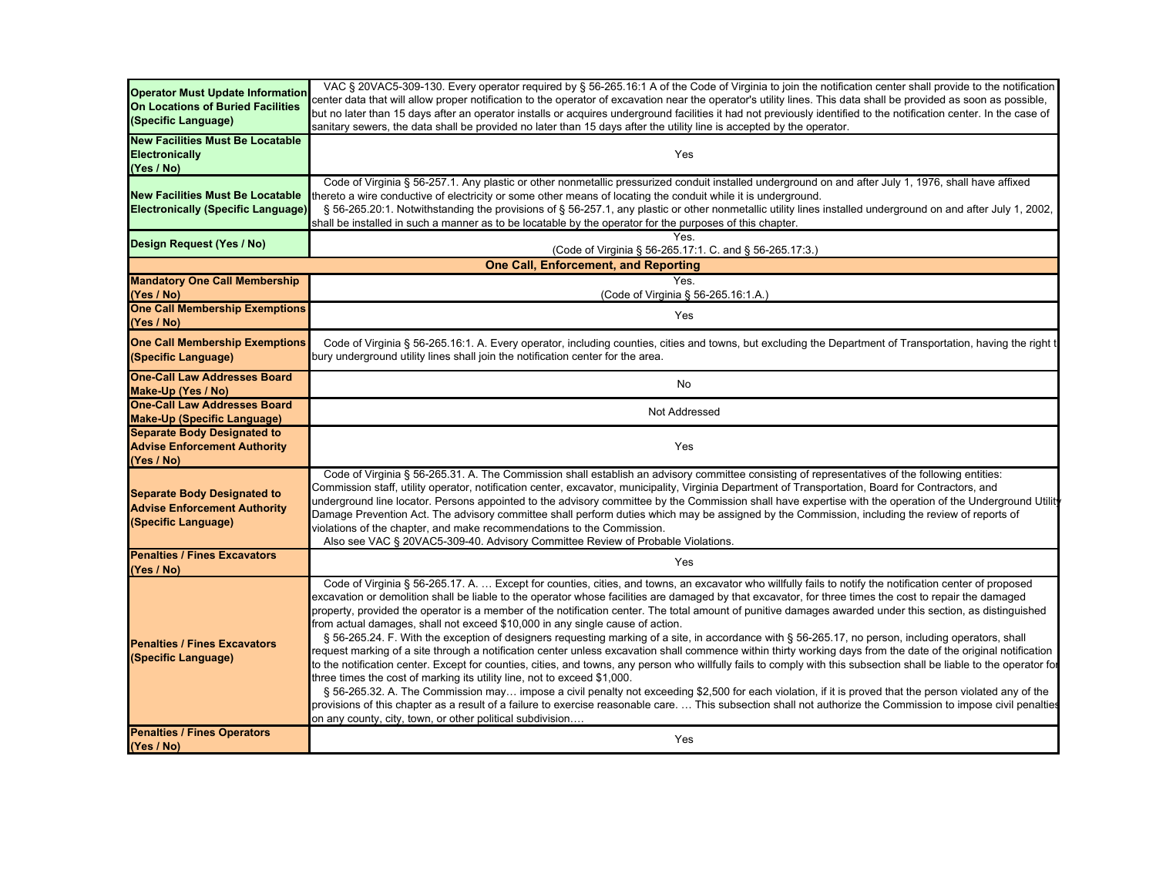| <b>Operator Must Update Information</b>   | VAC § 20VAC5-309-130. Every operator required by § 56-265.16:1 A of the Code of Virginia to join the notification center shall provide to the notification                                                                           |
|-------------------------------------------|--------------------------------------------------------------------------------------------------------------------------------------------------------------------------------------------------------------------------------------|
| <b>On Locations of Buried Facilities</b>  | center data that will allow proper notification to the operator of excavation near the operator's utility lines. This data shall be provided as soon as possible,                                                                    |
| (Specific Language)                       | but no later than 15 days after an operator installs or acquires underground facilities it had not previously identified to the notification center. In the case of                                                                  |
|                                           | sanitary sewers, the data shall be provided no later than 15 days after the utility line is accepted by the operator.                                                                                                                |
| <b>New Facilities Must Be Locatable</b>   |                                                                                                                                                                                                                                      |
| Electronically                            | Yes                                                                                                                                                                                                                                  |
| (Yes / No)                                |                                                                                                                                                                                                                                      |
|                                           | Code of Virginia § 56-257.1. Any plastic or other nonmetallic pressurized conduit installed underground on and after July 1, 1976, shall have affixed                                                                                |
| <b>New Facilities Must Be Locatable</b>   | thereto a wire conductive of electricity or some other means of locating the conduit while it is underground.                                                                                                                        |
| <b>Electronically (Specific Language)</b> | § 56-265.20:1. Notwithstanding the provisions of § 56-257.1, any plastic or other nonmetallic utility lines installed underground on and after July 1, 2002,                                                                         |
|                                           | shall be installed in such a manner as to be locatable by the operator for the purposes of this chapter.                                                                                                                             |
| Design Request (Yes / No)                 | <b>Yes</b>                                                                                                                                                                                                                           |
|                                           | (Code of Virginia § 56-265.17:1. C. and § 56-265.17:3.)                                                                                                                                                                              |
|                                           | <b>One Call, Enforcement, and Reporting</b>                                                                                                                                                                                          |
| <b>Mandatory One Call Membership</b>      | Yes.                                                                                                                                                                                                                                 |
| (Yes / No)                                | (Code of Virginia § 56-265.16:1.A.)                                                                                                                                                                                                  |
| <b>One Call Membership Exemptions</b>     | Yes                                                                                                                                                                                                                                  |
| (Yes / No)                                |                                                                                                                                                                                                                                      |
| <b>One Call Membership Exemptions</b>     | Code of Virginia § 56-265.16:1. A. Every operator, including counties, cities and towns, but excluding the Department of Transportation, having the right t                                                                          |
| (Specific Language)                       | bury underground utility lines shall join the notification center for the area.                                                                                                                                                      |
| <b>One-Call Law Addresses Board</b>       |                                                                                                                                                                                                                                      |
| Make-Up (Yes / No)                        | No                                                                                                                                                                                                                                   |
| <b>One-Call Law Addresses Board</b>       |                                                                                                                                                                                                                                      |
| <b>Make-Up (Specific Language)</b>        | Not Addressed                                                                                                                                                                                                                        |
| <b>Separate Body Designated to</b>        |                                                                                                                                                                                                                                      |
| <b>Advise Enforcement Authority</b>       | Yes                                                                                                                                                                                                                                  |
| (Yes / No)                                |                                                                                                                                                                                                                                      |
|                                           | Code of Virginia § 56-265.31. A. The Commission shall establish an advisory committee consisting of representatives of the following entities:                                                                                       |
|                                           | Commission staff, utility operator, notification center, excavator, municipality, Virginia Department of Transportation, Board for Contractors, and                                                                                  |
| <b>Separate Body Designated to</b>        | underground line locator. Persons appointed to the advisory committee by the Commission shall have expertise with the operation of the Underground Utility                                                                           |
| <b>Advise Enforcement Authority</b>       | Damage Prevention Act. The advisory committee shall perform duties which may be assigned by the Commission, including the review of reports of                                                                                       |
| (Specific Language)                       | violations of the chapter, and make recommendations to the Commission.                                                                                                                                                               |
|                                           | Also see VAC § 20VAC5-309-40. Advisory Committee Review of Probable Violations.                                                                                                                                                      |
| <b>Penalties / Fines Excavators</b>       | Yes                                                                                                                                                                                                                                  |
| (Yes / No)                                |                                                                                                                                                                                                                                      |
|                                           | Code of Virginia § 56-265.17. A.  Except for counties, cities, and towns, an excavator who willfully fails to notify the notification center of proposed                                                                             |
|                                           | excavation or demolition shall be liable to the operator whose facilities are damaged by that excavator, for three times the cost to repair the damaged                                                                              |
|                                           | property, provided the operator is a member of the notification center. The total amount of punitive damages awarded under this section, as distinguished                                                                            |
|                                           | from actual damages, shall not exceed \$10,000 in any single cause of action.<br>§ 56-265.24. F. With the exception of designers reguesting marking of a site, in accordance with § 56-265.17, no person, including operators, shall |
| <b>Penalties / Fines Excavators</b>       | request marking of a site through a notification center unless excavation shall commence within thirty working days from the date of the original notification                                                                       |
| (Specific Language)                       | to the notification center. Except for counties, cities, and towns, any person who willfully fails to comply with this subsection shall be liable to the operator fol                                                                |
|                                           | three times the cost of marking its utility line, not to exceed \$1,000.                                                                                                                                                             |
|                                           | § 56-265.32. A. The Commission may impose a civil penalty not exceeding \$2,500 for each violation, if it is proved that the person violated any of the                                                                              |
|                                           | provisions of this chapter as a result of a failure to exercise reasonable care.  This subsection shall not authorize the Commission to impose civil penalties                                                                       |
|                                           | on any county, city, town, or other political subdivision                                                                                                                                                                            |
| <b>Penalties / Fines Operators</b>        |                                                                                                                                                                                                                                      |
| (Yes / No)                                | Yes                                                                                                                                                                                                                                  |